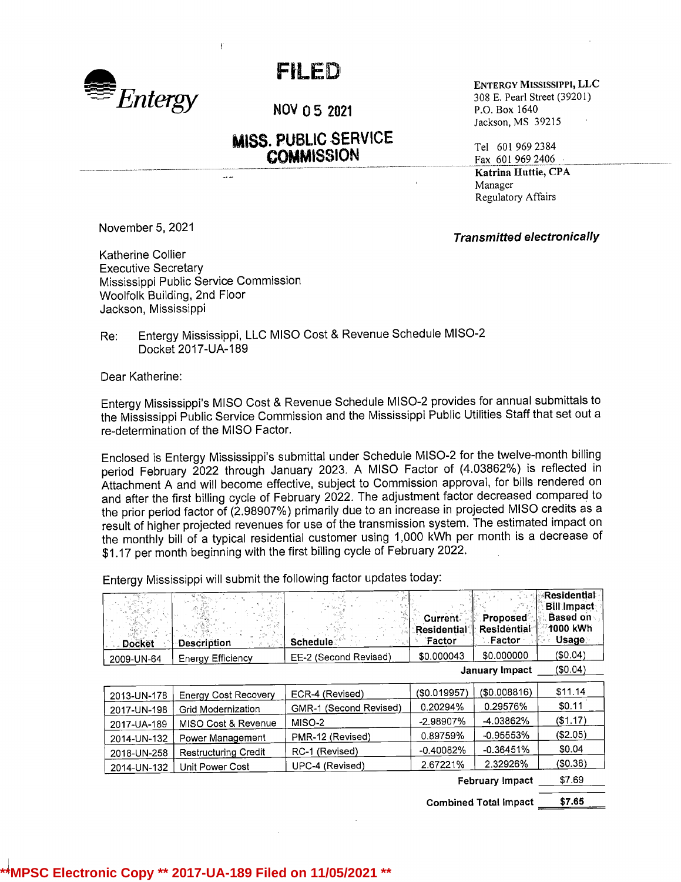

## FILED

NOV 0 5 2021 P.O. Box 1640

## **MISS. PUBLIC SERVICE**  $\text{COMMISSION}$  Tel 601 969 2384

ENTERGY MISSISSIPPI, LLC 308 E. Pearl Street (39201) Jackson, MS 39215

Fax 601 969 2406 Katrina Huttie, CPA Manager Regulatory Affairs

Transmitted electronically

November 5, 2021

Katherine Collier Executive Secretary Mississippi Public Service Commission Woolfolk Building, 2nd Floor Jackson, Mississippi

 $\sim$ 

Re: Entergy Mississippi, LLC MISO Cost & Revenue Schedule MISO-2 Docket 2017-UA-189

Dear Katherine:

Entergy Mississippi's MISO Cost & Revenue Schedule MISO-2 provides for annual submittals to the Mississippi Public Service Commission and the Mississippi Public Utilities Staff that set out <sup>a</sup> re-determination of the MISO Factor.

Enclosed is Entergy Mississippi's submittal under Schedule MISO-2 for the twelve-month billing period February 2022 through January 2023. <sup>A</sup> MISO Factor of (4.03862%) is reflected in Attachment <sup>A</sup> and will become effective, subject to Commission approval, for bills rendered on and after the first billing cycle of February 2022. The adjustment factor decreased compared to the prior period factor of (2.98907%) primarily due to an increase in projected MISO credits as <sup>a</sup> result of higher projected revenues for use of the transmission system. The estimated impact on the monthly bill of <sup>a</sup> typical residential customer using 1,000 kWh per month is <sup>a</sup> decrease of \$1.17 per month beginning with the first billing cycle of February 2022.

Entergy Mississippi will submit the following factor updates today:

| <b>Docket</b>          | u Tin<br><b>Description</b> | <b>Schedule</b>        | <b>Current</b><br>Residential<br>Factor | <b>Proposed</b><br>Residential <sup>-</sup><br>Factor | Residential<br><b>Bill Impact</b><br><b>Based on</b><br>1000 kWh<br><b>Usage</b> |
|------------------------|-----------------------------|------------------------|-----------------------------------------|-------------------------------------------------------|----------------------------------------------------------------------------------|
| 2009-UN-64             | <b>Energy Efficiency</b>    | EE-2 (Second Revised)  | \$0.000043                              | \$0.000000                                            | (S0.04)                                                                          |
| <b>January Impact</b>  |                             |                        |                                         |                                                       | (\$0.04)                                                                         |
| 2013-UN-178            | <b>Energy Cost Recovery</b> | ECR-4 (Revised)        | (\$0.019957)                            | (\$0.008816)                                          | \$11.14                                                                          |
| 2017-UN-198            | <b>Grid Modernization</b>   | GMR-1 (Second Revised) | 0.20294%                                | 0.29576%                                              | \$0.11                                                                           |
| 2017-UA-189            | MISO Cost & Revenue         | MISO-2                 | -2.98907%                               | -4.03862%                                             | (S1.17)                                                                          |
| 2014-UN-132            | Power Management            | PMR-12 (Revised)       | 0.89759%                                | $-0.95553%$                                           | ( \$2.05)                                                                        |
| 2018-UN-258            | <b>Restructuring Credit</b> | RC-1 (Revised)         | $-0.40082%$                             | $-0.36451%$                                           | \$0.04                                                                           |
| 2014-UN-132            | Unit Power Cost             | UPC-4 (Revised)        | 2.67221%                                | 2.32926%                                              | (\$0.38)                                                                         |
| <b>February Impact</b> |                             |                        |                                         | \$7.69                                                |                                                                                  |

Combined Total impact \$7.65

## **\*\*MPSC Electronic Copy \*\* 2017-UA-189 Filed on 11/05/2021 \*\***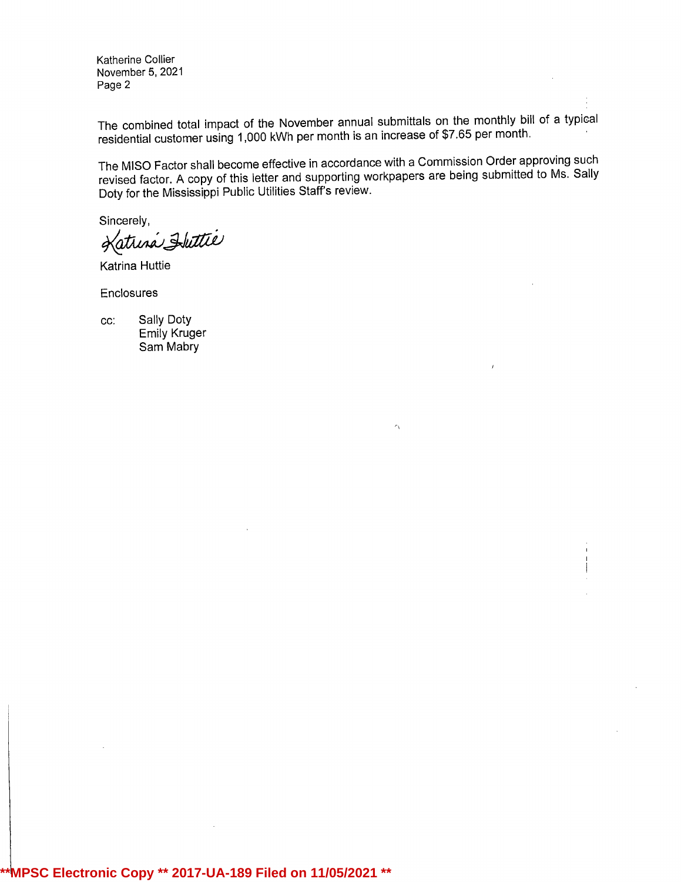Katherine Collier November 5, 2021 Page 2

The combined total impact of the November annual submittals on the monthly bill of <sup>a</sup> typical residential customer using 1,000 kWh per month is an increase of \$7.65 per month.

The MISO Factor shall become effective in accordance with <sup>a</sup> Commission Order approving such revised factor. <sup>A</sup> copy of this letter and supporting workpapers are being submitted to Ms. Sally Doty for the Mississippi Public Utilities Staff's review.

Λ

Sincerely,

Katrina Huttie

Katrina Huttie

Enclosures

cc: Sally Doty Emily Kruger Sam Mabry